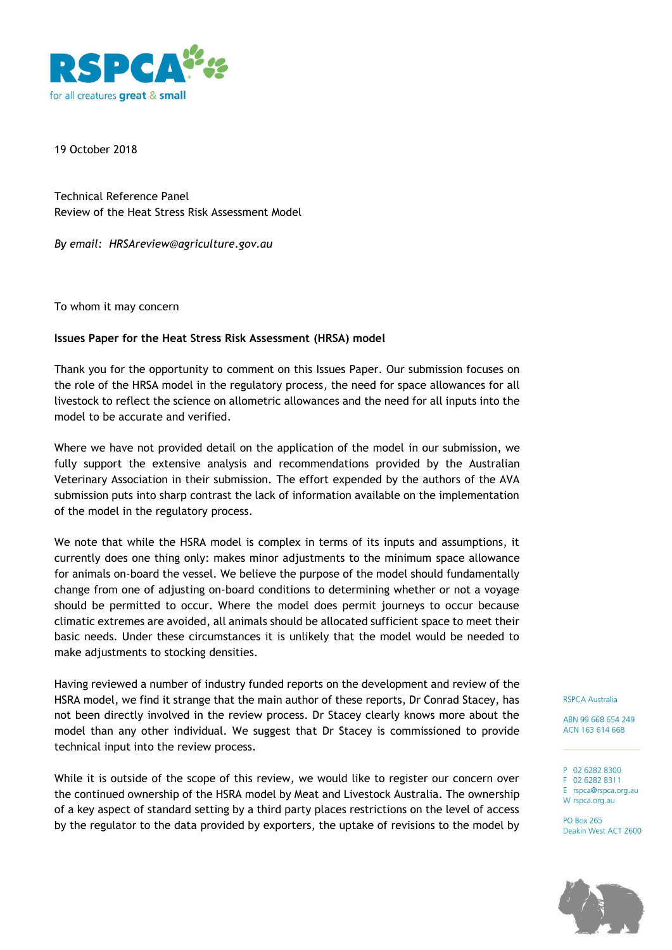

19 October 2018

Technical Reference Panel Review of the Heat Stress Risk Assessment Model

*By email: HRSAreview@agriculture.gov.au*

To whom it may concern

## **Issues Paper for the Heat Stress Risk Assessment (HRSA) model**

Thank you for the opportunity to comment on this Issues Paper. Our submission focuses on the role of the HRSA model in the regulatory process, the need for space allowances for all livestock to reflect the science on allometric allowances and the need for all inputs into the model to be accurate and verified.

Where we have not provided detail on the application of the model in our submission, we fully support the extensive analysis and recommendations provided by the Australian Veterinary Association in their submission. The effort expended by the authors of the AVA submission puts into sharp contrast the lack of information available on the implementation of the model in the regulatory process.

We note that while the HSRA model is complex in terms of its inputs and assumptions, it currently does one thing only: makes minor adjustments to the minimum space allowance for animals on-board the vessel. We believe the purpose of the model should fundamentally change from one of adjusting on-board conditions to determining whether or not a voyage should be permitted to occur. Where the model does permit journeys to occur because climatic extremes are avoided, all animals should be allocated sufficient space to meet their basic needs. Under these circumstances it is unlikely that the model would be needed to make adjustments to stocking densities.

Having reviewed a number of industry funded reports on the development and review of the HSRA model, we find it strange that the main author of these reports, Dr Conrad Stacey, has not been directly involved in the review process. Dr Stacey clearly knows more about the model than any other individual. We suggest that Dr Stacey is commissioned to provide technical input into the review process.

While it is outside of the scope of this review, we would like to register our concern over the continued ownership of the HSRA model by Meat and Livestock Australia. The ownership of a key aspect of standard setting by a third party places restrictions on the level of access by the regulator to the data provided by exporters, the uptake of revisions to the model by **RSPCA Australia** 

ABN 99 668 654 249 ACN 163 614 668

P 02 6282 8300 F 02 6282 8311 E rspca@rspca.org.au W rspca.org.au

**PO Box 265** Deakin West ACT 2600

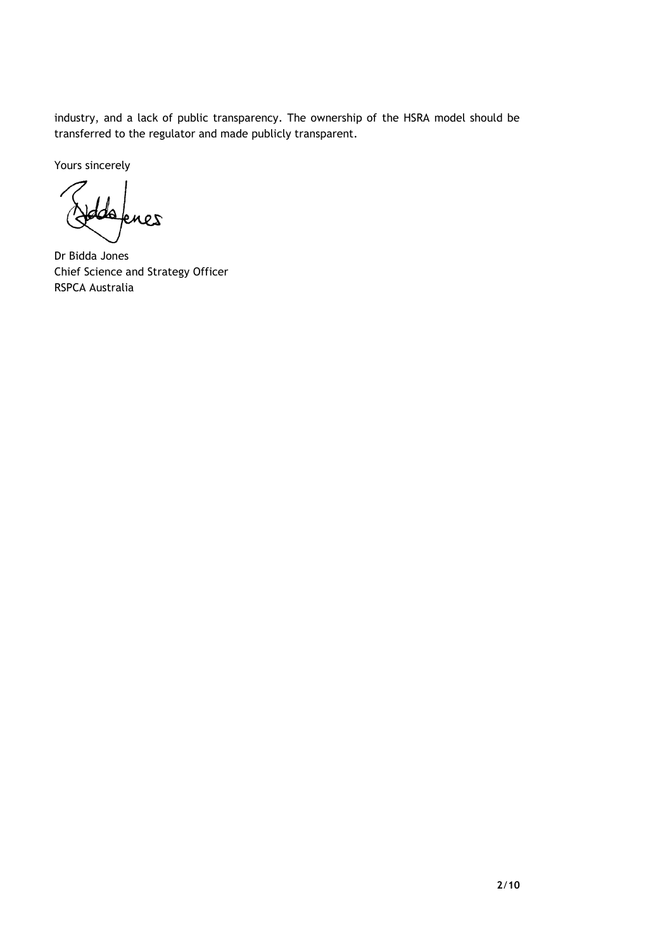industry, and a lack of public transparency. The ownership of the HSRA model should be transferred to the regulator and made publicly transparent.

Yours sincerely

ďA knes

Dr Bidda Jones Chief Science and Strategy Officer RSPCA Australia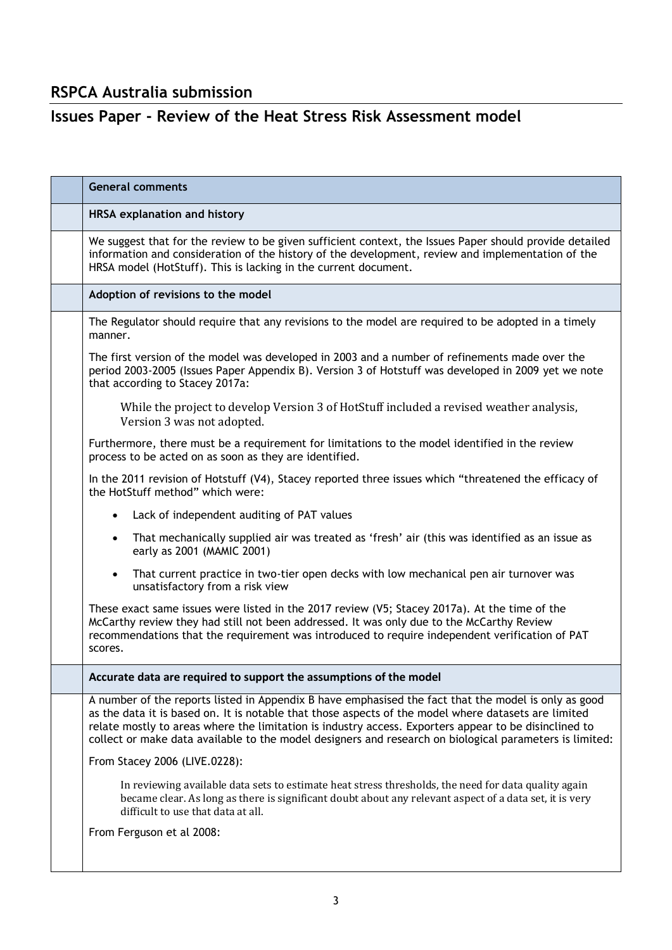## **RSPCA Australia submission**

## **Issues Paper - Review of the Heat Stress Risk Assessment model**

| <b>General comments</b>                                                                                                                                                                                                                                                                                                                                                                                                          |
|----------------------------------------------------------------------------------------------------------------------------------------------------------------------------------------------------------------------------------------------------------------------------------------------------------------------------------------------------------------------------------------------------------------------------------|
| <b>HRSA explanation and history</b>                                                                                                                                                                                                                                                                                                                                                                                              |
| We suggest that for the review to be given sufficient context, the Issues Paper should provide detailed<br>information and consideration of the history of the development, review and implementation of the<br>HRSA model (HotStuff). This is lacking in the current document.                                                                                                                                                  |
| Adoption of revisions to the model                                                                                                                                                                                                                                                                                                                                                                                               |
| The Regulator should require that any revisions to the model are required to be adopted in a timely<br>manner.                                                                                                                                                                                                                                                                                                                   |
| The first version of the model was developed in 2003 and a number of refinements made over the<br>period 2003-2005 (Issues Paper Appendix B). Version 3 of Hotstuff was developed in 2009 yet we note<br>that according to Stacey 2017a:                                                                                                                                                                                         |
| While the project to develop Version 3 of HotStuff included a revised weather analysis,<br>Version 3 was not adopted.                                                                                                                                                                                                                                                                                                            |
| Furthermore, there must be a requirement for limitations to the model identified in the review<br>process to be acted on as soon as they are identified.                                                                                                                                                                                                                                                                         |
| In the 2011 revision of Hotstuff (V4), Stacey reported three issues which "threatened the efficacy of<br>the HotStuff method" which were:                                                                                                                                                                                                                                                                                        |
| Lack of independent auditing of PAT values<br>$\bullet$                                                                                                                                                                                                                                                                                                                                                                          |
| That mechanically supplied air was treated as 'fresh' air (this was identified as an issue as<br>$\bullet$<br>early as 2001 (MAMIC 2001)                                                                                                                                                                                                                                                                                         |
| That current practice in two-tier open decks with low mechanical pen air turnover was<br>$\bullet$<br>unsatisfactory from a risk view                                                                                                                                                                                                                                                                                            |
| These exact same issues were listed in the 2017 review (V5; Stacey 2017a). At the time of the<br>McCarthy review they had still not been addressed. It was only due to the McCarthy Review<br>recommendations that the requirement was introduced to require independent verification of PAT<br>scores.                                                                                                                          |
| Accurate data are required to support the assumptions of the model                                                                                                                                                                                                                                                                                                                                                               |
| A number of the reports listed in Appendix B have emphasised the fact that the model is only as good<br>as the data it is based on. It is notable that those aspects of the model where datasets are limited<br>relate mostly to areas where the limitation is industry access. Exporters appear to be disinclined to<br>collect or make data available to the model designers and research on biological parameters is limited: |
| From Stacey 2006 (LIVE.0228):                                                                                                                                                                                                                                                                                                                                                                                                    |
| In reviewing available data sets to estimate heat stress thresholds, the need for data quality again<br>became clear. As long as there is significant doubt about any relevant aspect of a data set, it is very<br>difficult to use that data at all.                                                                                                                                                                            |
| From Ferguson et al 2008:                                                                                                                                                                                                                                                                                                                                                                                                        |
|                                                                                                                                                                                                                                                                                                                                                                                                                                  |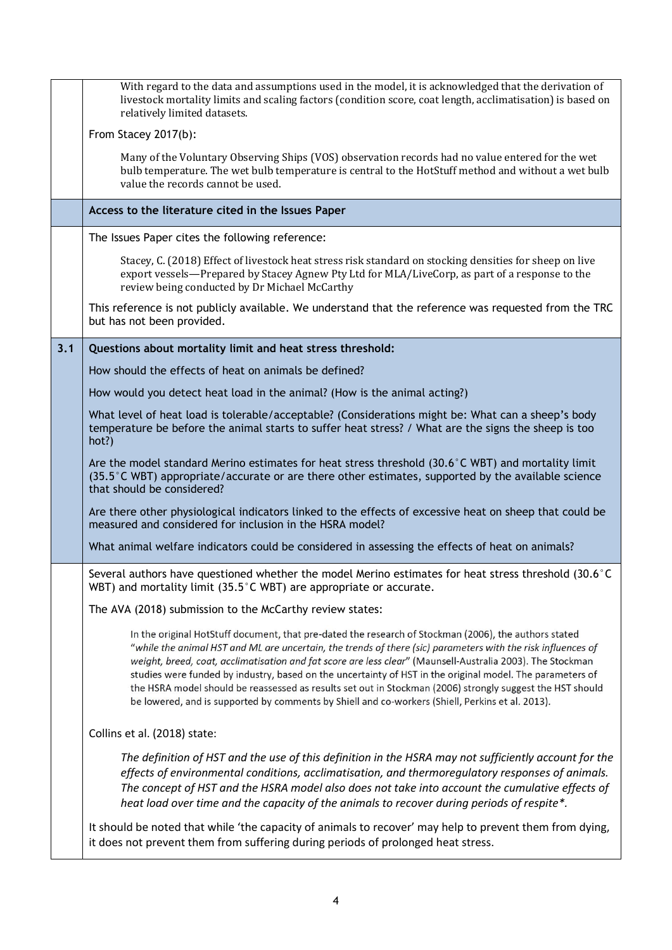|     | With regard to the data and assumptions used in the model, it is acknowledged that the derivation of<br>livestock mortality limits and scaling factors (condition score, coat length, acclimatisation) is based on<br>relatively limited datasets.                                                                                                                                                                                                                                                                                                                                                                                                                |
|-----|-------------------------------------------------------------------------------------------------------------------------------------------------------------------------------------------------------------------------------------------------------------------------------------------------------------------------------------------------------------------------------------------------------------------------------------------------------------------------------------------------------------------------------------------------------------------------------------------------------------------------------------------------------------------|
|     | From Stacey 2017(b):                                                                                                                                                                                                                                                                                                                                                                                                                                                                                                                                                                                                                                              |
|     | Many of the Voluntary Observing Ships (VOS) observation records had no value entered for the wet<br>bulb temperature. The wet bulb temperature is central to the HotStuff method and without a wet bulb<br>value the records cannot be used.                                                                                                                                                                                                                                                                                                                                                                                                                      |
|     | Access to the literature cited in the Issues Paper                                                                                                                                                                                                                                                                                                                                                                                                                                                                                                                                                                                                                |
|     | The Issues Paper cites the following reference:                                                                                                                                                                                                                                                                                                                                                                                                                                                                                                                                                                                                                   |
|     | Stacey, C. (2018) Effect of livestock heat stress risk standard on stocking densities for sheep on live<br>export vessels—Prepared by Stacey Agnew Pty Ltd for MLA/LiveCorp, as part of a response to the<br>review being conducted by Dr Michael McCarthy                                                                                                                                                                                                                                                                                                                                                                                                        |
|     | This reference is not publicly available. We understand that the reference was requested from the TRC<br>but has not been provided.                                                                                                                                                                                                                                                                                                                                                                                                                                                                                                                               |
| 3.1 | Questions about mortality limit and heat stress threshold:                                                                                                                                                                                                                                                                                                                                                                                                                                                                                                                                                                                                        |
|     | How should the effects of heat on animals be defined?                                                                                                                                                                                                                                                                                                                                                                                                                                                                                                                                                                                                             |
|     | How would you detect heat load in the animal? (How is the animal acting?)                                                                                                                                                                                                                                                                                                                                                                                                                                                                                                                                                                                         |
|     | What level of heat load is tolerable/acceptable? (Considerations might be: What can a sheep's body<br>temperature be before the animal starts to suffer heat stress? / What are the signs the sheep is too<br>hot?)                                                                                                                                                                                                                                                                                                                                                                                                                                               |
|     | Are the model standard Merino estimates for heat stress threshold (30.6°C WBT) and mortality limit<br>(35.5°C WBT) appropriate/accurate or are there other estimates, supported by the available science<br>that should be considered?                                                                                                                                                                                                                                                                                                                                                                                                                            |
|     | Are there other physiological indicators linked to the effects of excessive heat on sheep that could be<br>measured and considered for inclusion in the HSRA model?                                                                                                                                                                                                                                                                                                                                                                                                                                                                                               |
|     | What animal welfare indicators could be considered in assessing the effects of heat on animals?                                                                                                                                                                                                                                                                                                                                                                                                                                                                                                                                                                   |
|     | Several authors have questioned whether the model Merino estimates for heat stress threshold (30.6°C<br>WBT) and mortality limit (35.5°C WBT) are appropriate or accurate.                                                                                                                                                                                                                                                                                                                                                                                                                                                                                        |
|     | The AVA (2018) submission to the McCarthy review states:                                                                                                                                                                                                                                                                                                                                                                                                                                                                                                                                                                                                          |
|     | In the original HotStuff document, that pre-dated the research of Stockman (2006), the authors stated<br>"while the animal HST and ML are uncertain, the trends of there (sic) parameters with the risk influences of<br>weight, breed, coat, acclimatisation and fat score are less clear" (Maunsell-Australia 2003). The Stockman<br>studies were funded by industry, based on the uncertainty of HST in the original model. The parameters of<br>the HSRA model should be reassessed as results set out in Stockman (2006) strongly suggest the HST should<br>be lowered, and is supported by comments by Shiell and co-workers (Shiell, Perkins et al. 2013). |
|     | Collins et al. (2018) state:                                                                                                                                                                                                                                                                                                                                                                                                                                                                                                                                                                                                                                      |
|     | The definition of HST and the use of this definition in the HSRA may not sufficiently account for the<br>effects of environmental conditions, acclimatisation, and thermoregulatory responses of animals.<br>The concept of HST and the HSRA model also does not take into account the cumulative effects of<br>heat load over time and the capacity of the animals to recover during periods of respite*.                                                                                                                                                                                                                                                        |
|     | It should be noted that while 'the capacity of animals to recover' may help to prevent them from dying,<br>it does not prevent them from suffering during periods of prolonged heat stress.                                                                                                                                                                                                                                                                                                                                                                                                                                                                       |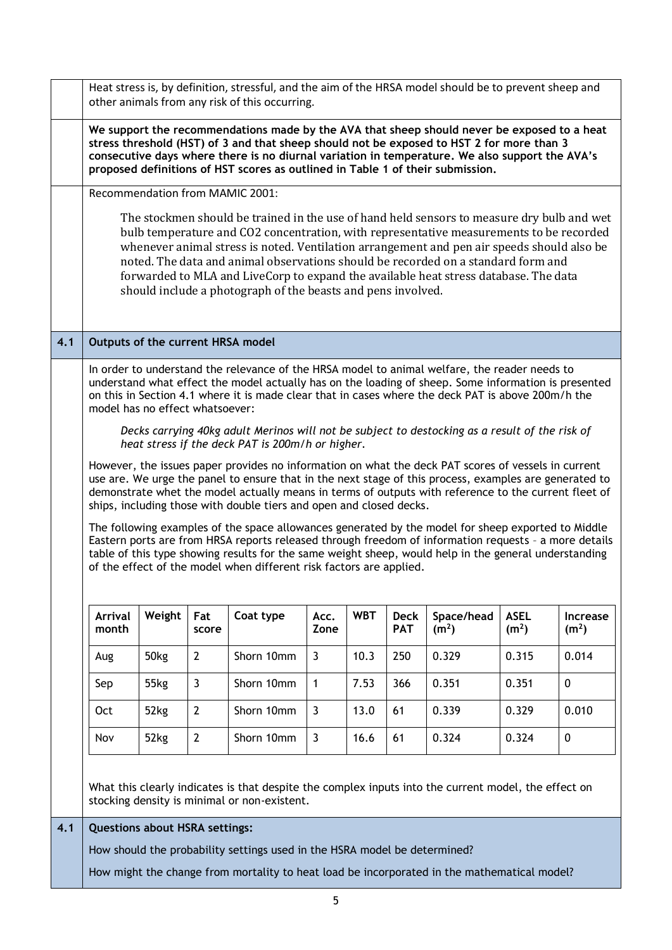|     |                                                                                                                                                                                                                                                                                                                                                                                                                                                                                                                                                                                                                                                                                                                                                                                                                                                                                                                                                                                                                                                                                                                                                                                                                                                                                                     |                                       |                | Heat stress is, by definition, stressful, and the aim of the HRSA model should be to prevent sheep and<br>other animals from any risk of this occurring.                                                                                                                                                                                                                                                                                                                                                                         |                |            |                           |                                 |                                  |                                      |
|-----|-----------------------------------------------------------------------------------------------------------------------------------------------------------------------------------------------------------------------------------------------------------------------------------------------------------------------------------------------------------------------------------------------------------------------------------------------------------------------------------------------------------------------------------------------------------------------------------------------------------------------------------------------------------------------------------------------------------------------------------------------------------------------------------------------------------------------------------------------------------------------------------------------------------------------------------------------------------------------------------------------------------------------------------------------------------------------------------------------------------------------------------------------------------------------------------------------------------------------------------------------------------------------------------------------------|---------------------------------------|----------------|----------------------------------------------------------------------------------------------------------------------------------------------------------------------------------------------------------------------------------------------------------------------------------------------------------------------------------------------------------------------------------------------------------------------------------------------------------------------------------------------------------------------------------|----------------|------------|---------------------------|---------------------------------|----------------------------------|--------------------------------------|
|     |                                                                                                                                                                                                                                                                                                                                                                                                                                                                                                                                                                                                                                                                                                                                                                                                                                                                                                                                                                                                                                                                                                                                                                                                                                                                                                     |                                       |                | We support the recommendations made by the AVA that sheep should never be exposed to a heat<br>stress threshold (HST) of 3 and that sheep should not be exposed to HST 2 for more than 3<br>consecutive days where there is no diurnal variation in temperature. We also support the AVA's<br>proposed definitions of HST scores as outlined in Table 1 of their submission.                                                                                                                                                     |                |            |                           |                                 |                                  |                                      |
|     |                                                                                                                                                                                                                                                                                                                                                                                                                                                                                                                                                                                                                                                                                                                                                                                                                                                                                                                                                                                                                                                                                                                                                                                                                                                                                                     |                                       |                | Recommendation from MAMIC 2001:                                                                                                                                                                                                                                                                                                                                                                                                                                                                                                  |                |            |                           |                                 |                                  |                                      |
|     |                                                                                                                                                                                                                                                                                                                                                                                                                                                                                                                                                                                                                                                                                                                                                                                                                                                                                                                                                                                                                                                                                                                                                                                                                                                                                                     |                                       |                | The stockmen should be trained in the use of hand held sensors to measure dry bulb and wet<br>bulb temperature and CO2 concentration, with representative measurements to be recorded<br>whenever animal stress is noted. Ventilation arrangement and pen air speeds should also be<br>noted. The data and animal observations should be recorded on a standard form and<br>forwarded to MLA and LiveCorp to expand the available heat stress database. The data<br>should include a photograph of the beasts and pens involved. |                |            |                           |                                 |                                  |                                      |
| 4.1 |                                                                                                                                                                                                                                                                                                                                                                                                                                                                                                                                                                                                                                                                                                                                                                                                                                                                                                                                                                                                                                                                                                                                                                                                                                                                                                     | Outputs of the current HRSA model     |                |                                                                                                                                                                                                                                                                                                                                                                                                                                                                                                                                  |                |            |                           |                                 |                                  |                                      |
|     | In order to understand the relevance of the HRSA model to animal welfare, the reader needs to<br>understand what effect the model actually has on the loading of sheep. Some information is presented<br>on this in Section 4.1 where it is made clear that in cases where the deck PAT is above 200m/h the<br>model has no effect whatsoever:<br>Decks carrying 40kg adult Merinos will not be subject to destocking as a result of the risk of<br>heat stress if the deck PAT is 200m/h or higher.<br>However, the issues paper provides no information on what the deck PAT scores of vessels in current<br>use are. We urge the panel to ensure that in the next stage of this process, examples are generated to<br>demonstrate whet the model actually means in terms of outputs with reference to the current fleet of<br>ships, including those with double tiers and open and closed decks.<br>The following examples of the space allowances generated by the model for sheep exported to Middle<br>Eastern ports are from HRSA reports released through freedom of information requests - a more details<br>table of this type showing results for the same weight sheep, would help in the general understanding<br>of the effect of the model when different risk factors are applied. |                                       |                |                                                                                                                                                                                                                                                                                                                                                                                                                                                                                                                                  |                |            |                           |                                 |                                  |                                      |
|     | <b>Arrival</b><br>month                                                                                                                                                                                                                                                                                                                                                                                                                                                                                                                                                                                                                                                                                                                                                                                                                                                                                                                                                                                                                                                                                                                                                                                                                                                                             | Weight                                | Fat<br>score   | Coat type                                                                                                                                                                                                                                                                                                                                                                                                                                                                                                                        | Acc.<br>Zone   | <b>WBT</b> | <b>Deck</b><br><b>PAT</b> | Space/head<br>(m <sup>2</sup> ) | <b>ASEL</b><br>(m <sup>2</sup> ) | <b>Increase</b><br>(m <sup>2</sup> ) |
|     | Aug                                                                                                                                                                                                                                                                                                                                                                                                                                                                                                                                                                                                                                                                                                                                                                                                                                                                                                                                                                                                                                                                                                                                                                                                                                                                                                 | 50kg                                  | $\overline{2}$ | Shorn 10mm                                                                                                                                                                                                                                                                                                                                                                                                                                                                                                                       | $\overline{3}$ | 10.3       | 250                       | 0.329                           | 0.315                            | 0.014                                |
|     | Sep                                                                                                                                                                                                                                                                                                                                                                                                                                                                                                                                                                                                                                                                                                                                                                                                                                                                                                                                                                                                                                                                                                                                                                                                                                                                                                 | 55kg                                  | $\overline{3}$ | Shorn 10mm                                                                                                                                                                                                                                                                                                                                                                                                                                                                                                                       | $\mathbf{1}$   | 7.53       | 366                       | 0.351                           | 0.351                            | $\mathbf 0$                          |
|     | Oct                                                                                                                                                                                                                                                                                                                                                                                                                                                                                                                                                                                                                                                                                                                                                                                                                                                                                                                                                                                                                                                                                                                                                                                                                                                                                                 | 52kg                                  | $\overline{2}$ | Shorn 10mm                                                                                                                                                                                                                                                                                                                                                                                                                                                                                                                       | $\overline{3}$ | 13.0       | 61                        | 0.339                           | 0.329                            | 0.010                                |
|     | Nov                                                                                                                                                                                                                                                                                                                                                                                                                                                                                                                                                                                                                                                                                                                                                                                                                                                                                                                                                                                                                                                                                                                                                                                                                                                                                                 | 52kg                                  | $\overline{2}$ | Shorn 10mm                                                                                                                                                                                                                                                                                                                                                                                                                                                                                                                       | $\overline{3}$ | 16.6       | 61                        | 0.324                           | 0.324                            | $\mathbf 0$                          |
|     |                                                                                                                                                                                                                                                                                                                                                                                                                                                                                                                                                                                                                                                                                                                                                                                                                                                                                                                                                                                                                                                                                                                                                                                                                                                                                                     |                                       |                | What this clearly indicates is that despite the complex inputs into the current model, the effect on<br>stocking density is minimal or non-existent.                                                                                                                                                                                                                                                                                                                                                                             |                |            |                           |                                 |                                  |                                      |
| 4.1 |                                                                                                                                                                                                                                                                                                                                                                                                                                                                                                                                                                                                                                                                                                                                                                                                                                                                                                                                                                                                                                                                                                                                                                                                                                                                                                     | <b>Questions about HSRA settings:</b> |                | How should the probability settings used in the HSRA model be determined?<br>How might the change from mortality to heat load be incorporated in the mathematical model?                                                                                                                                                                                                                                                                                                                                                         |                |            |                           |                                 |                                  |                                      |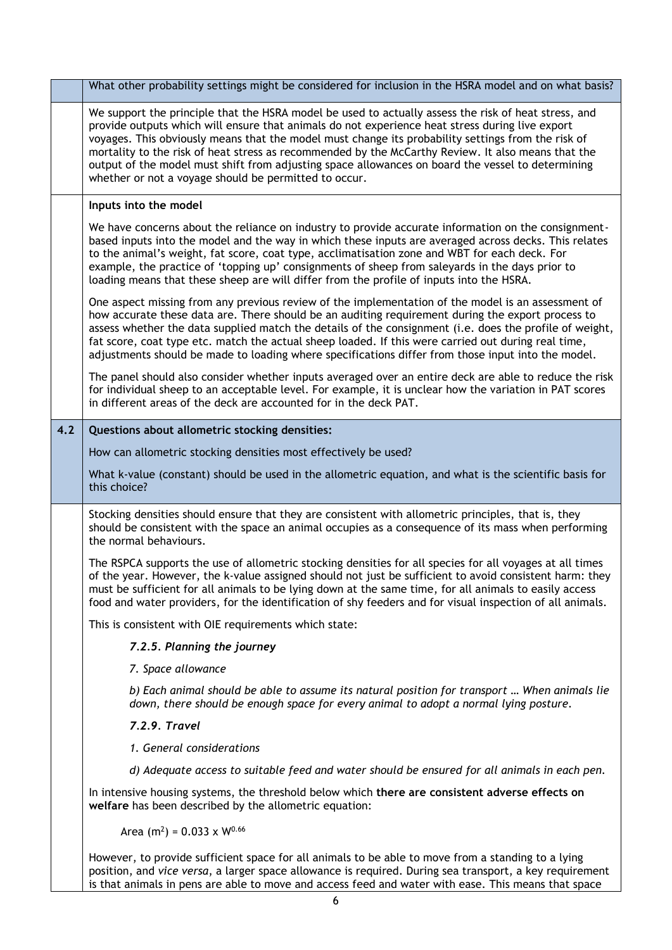|     | What other probability settings might be considered for inclusion in the HSRA model and on what basis?                                                                                                                                                                                                                                                                                                                                                                                                                                                                            |  |  |  |  |  |  |
|-----|-----------------------------------------------------------------------------------------------------------------------------------------------------------------------------------------------------------------------------------------------------------------------------------------------------------------------------------------------------------------------------------------------------------------------------------------------------------------------------------------------------------------------------------------------------------------------------------|--|--|--|--|--|--|
|     | We support the principle that the HSRA model be used to actually assess the risk of heat stress, and<br>provide outputs which will ensure that animals do not experience heat stress during live export<br>voyages. This obviously means that the model must change its probability settings from the risk of<br>mortality to the risk of heat stress as recommended by the McCarthy Review. It also means that the<br>output of the model must shift from adjusting space allowances on board the vessel to determining<br>whether or not a voyage should be permitted to occur. |  |  |  |  |  |  |
|     | Inputs into the model                                                                                                                                                                                                                                                                                                                                                                                                                                                                                                                                                             |  |  |  |  |  |  |
|     | We have concerns about the reliance on industry to provide accurate information on the consignment-<br>based inputs into the model and the way in which these inputs are averaged across decks. This relates<br>to the animal's weight, fat score, coat type, acclimatisation zone and WBT for each deck. For<br>example, the practice of 'topping up' consignments of sheep from saleyards in the days prior to<br>loading means that these sheep are will differ from the profile of inputs into the HSRA.                                                                      |  |  |  |  |  |  |
|     | One aspect missing from any previous review of the implementation of the model is an assessment of<br>how accurate these data are. There should be an auditing requirement during the export process to<br>assess whether the data supplied match the details of the consignment (i.e. does the profile of weight,<br>fat score, coat type etc. match the actual sheep loaded. If this were carried out during real time,<br>adjustments should be made to loading where specifications differ from those input into the model.                                                   |  |  |  |  |  |  |
|     | The panel should also consider whether inputs averaged over an entire deck are able to reduce the risk<br>for individual sheep to an acceptable level. For example, it is unclear how the variation in PAT scores<br>in different areas of the deck are accounted for in the deck PAT.                                                                                                                                                                                                                                                                                            |  |  |  |  |  |  |
| 4.2 | Questions about allometric stocking densities:                                                                                                                                                                                                                                                                                                                                                                                                                                                                                                                                    |  |  |  |  |  |  |
|     | How can allometric stocking densities most effectively be used?                                                                                                                                                                                                                                                                                                                                                                                                                                                                                                                   |  |  |  |  |  |  |
|     | What k-value (constant) should be used in the allometric equation, and what is the scientific basis for<br>this choice?                                                                                                                                                                                                                                                                                                                                                                                                                                                           |  |  |  |  |  |  |
|     | Stocking densities should ensure that they are consistent with allometric principles, that is, they<br>should be consistent with the space an animal occupies as a consequence of its mass when performing<br>the normal behaviours.                                                                                                                                                                                                                                                                                                                                              |  |  |  |  |  |  |
|     | The RSPCA supports the use of allometric stocking densities for all species for all voyages at all times<br>of the year. However, the k-value assigned should not just be sufficient to avoid consistent harm: they<br>must be sufficient for all animals to be lying down at the same time, for all animals to easily access<br>food and water providers, for the identification of shy feeders and for visual inspection of all animals.                                                                                                                                        |  |  |  |  |  |  |
|     | This is consistent with OIE requirements which state:                                                                                                                                                                                                                                                                                                                                                                                                                                                                                                                             |  |  |  |  |  |  |
|     | 7.2.5. Planning the journey                                                                                                                                                                                                                                                                                                                                                                                                                                                                                                                                                       |  |  |  |  |  |  |
|     | 7. Space allowance                                                                                                                                                                                                                                                                                                                                                                                                                                                                                                                                                                |  |  |  |  |  |  |
|     | b) Each animal should be able to assume its natural position for transport  When animals lie<br>down, there should be enough space for every animal to adopt a normal lying posture.                                                                                                                                                                                                                                                                                                                                                                                              |  |  |  |  |  |  |
|     | 7.2.9. Travel                                                                                                                                                                                                                                                                                                                                                                                                                                                                                                                                                                     |  |  |  |  |  |  |
|     | 1. General considerations                                                                                                                                                                                                                                                                                                                                                                                                                                                                                                                                                         |  |  |  |  |  |  |
|     | d) Adequate access to suitable feed and water should be ensured for all animals in each pen.                                                                                                                                                                                                                                                                                                                                                                                                                                                                                      |  |  |  |  |  |  |
|     | In intensive housing systems, the threshold below which there are consistent adverse effects on<br>welfare has been described by the allometric equation:                                                                                                                                                                                                                                                                                                                                                                                                                         |  |  |  |  |  |  |
|     | Area (m <sup>2</sup> ) = $0.033 \times W^{0.66}$                                                                                                                                                                                                                                                                                                                                                                                                                                                                                                                                  |  |  |  |  |  |  |
|     | However, to provide sufficient space for all animals to be able to move from a standing to a lying<br>position, and vice versa, a larger space allowance is required. During sea transport, a key requirement<br>is that animals in pens are able to move and access feed and water with ease. This means that space                                                                                                                                                                                                                                                              |  |  |  |  |  |  |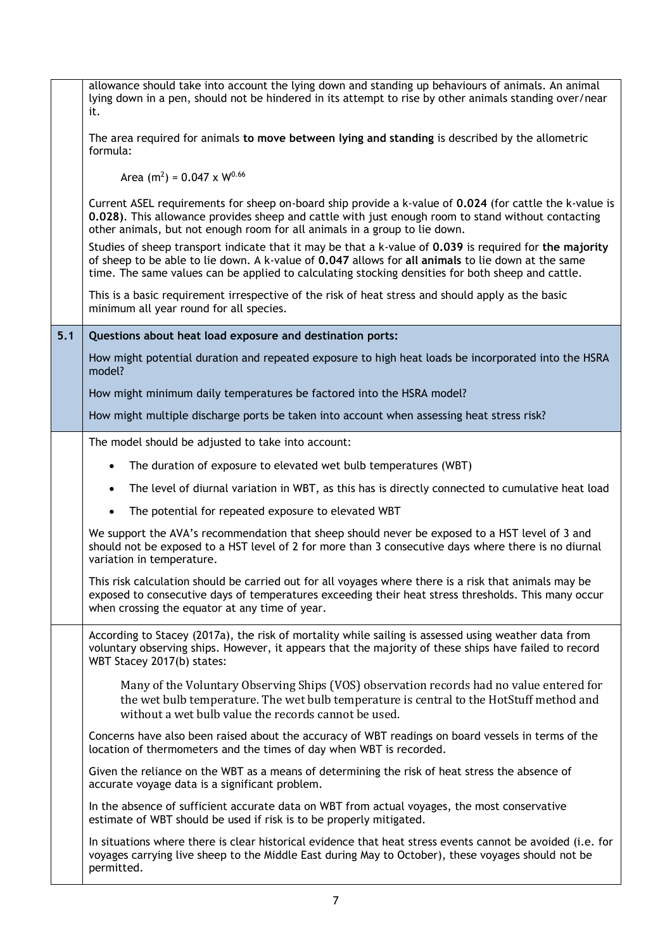|     | allowance should take into account the lying down and standing up behaviours of animals. An animal<br>lying down in a pen, should not be hindered in its attempt to rise by other animals standing over/near<br>it.                                                                                                |
|-----|--------------------------------------------------------------------------------------------------------------------------------------------------------------------------------------------------------------------------------------------------------------------------------------------------------------------|
|     | The area required for animals to move between lying and standing is described by the allometric<br>formula:                                                                                                                                                                                                        |
|     | Area $(m^2) = 0.047 \times W^{0.66}$                                                                                                                                                                                                                                                                               |
|     | Current ASEL requirements for sheep on-board ship provide a k-value of 0.024 (for cattle the k-value is<br>0.028). This allowance provides sheep and cattle with just enough room to stand without contacting<br>other animals, but not enough room for all animals in a group to lie down.                        |
|     | Studies of sheep transport indicate that it may be that a k-value of 0.039 is required for the majority<br>of sheep to be able to lie down. A k-value of 0.047 allows for all animals to lie down at the same<br>time. The same values can be applied to calculating stocking densities for both sheep and cattle. |
|     | This is a basic requirement irrespective of the risk of heat stress and should apply as the basic<br>minimum all year round for all species.                                                                                                                                                                       |
| 5.1 | Questions about heat load exposure and destination ports:                                                                                                                                                                                                                                                          |
|     | How might potential duration and repeated exposure to high heat loads be incorporated into the HSRA<br>model?                                                                                                                                                                                                      |
|     | How might minimum daily temperatures be factored into the HSRA model?                                                                                                                                                                                                                                              |
|     | How might multiple discharge ports be taken into account when assessing heat stress risk?                                                                                                                                                                                                                          |
|     | The model should be adjusted to take into account:                                                                                                                                                                                                                                                                 |
|     | The duration of exposure to elevated wet bulb temperatures (WBT)<br>$\bullet$                                                                                                                                                                                                                                      |
|     | The level of diurnal variation in WBT, as this has is directly connected to cumulative heat load<br>$\bullet$                                                                                                                                                                                                      |
|     | The potential for repeated exposure to elevated WBT<br>$\bullet$                                                                                                                                                                                                                                                   |
|     | We support the AVA's recommendation that sheep should never be exposed to a HST level of 3 and<br>should not be exposed to a HST level of 2 for more than 3 consecutive days where there is no diurnal<br>variation in temperature.                                                                                |
|     | This risk calculation should be carried out for all voyages where there is a risk that animals may be<br>exposed to consecutive days of temperatures exceeding their heat stress thresholds. This many occur<br>when crossing the equator at any time of year.                                                     |
|     | According to Stacey (2017a), the risk of mortality while sailing is assessed using weather data from<br>voluntary observing ships. However, it appears that the majority of these ships have failed to record<br>WBT Stacey 2017(b) states:                                                                        |
|     | Many of the Voluntary Observing Ships (VOS) observation records had no value entered for<br>the wet bulb temperature. The wet bulb temperature is central to the HotStuff method and<br>without a wet bulb value the records cannot be used.                                                                       |
|     | Concerns have also been raised about the accuracy of WBT readings on board vessels in terms of the<br>location of thermometers and the times of day when WBT is recorded.                                                                                                                                          |
|     | Given the reliance on the WBT as a means of determining the risk of heat stress the absence of<br>accurate voyage data is a significant problem.                                                                                                                                                                   |
|     | In the absence of sufficient accurate data on WBT from actual voyages, the most conservative<br>estimate of WBT should be used if risk is to be properly mitigated.                                                                                                                                                |
|     | In situations where there is clear historical evidence that heat stress events cannot be avoided (i.e. for<br>voyages carrying live sheep to the Middle East during May to October), these voyages should not be<br>permitted.                                                                                     |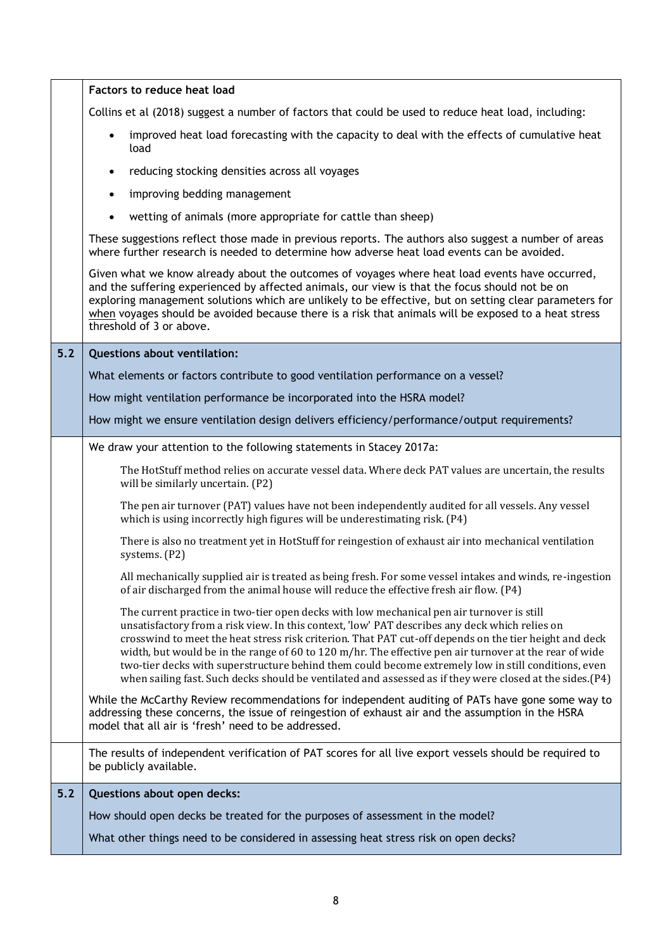|       | Factors to reduce heat load                                                                                                                                                                                                                                                                                                                                                                                                                                                                                                                                                                                                           |
|-------|---------------------------------------------------------------------------------------------------------------------------------------------------------------------------------------------------------------------------------------------------------------------------------------------------------------------------------------------------------------------------------------------------------------------------------------------------------------------------------------------------------------------------------------------------------------------------------------------------------------------------------------|
|       | Collins et al (2018) suggest a number of factors that could be used to reduce heat load, including:                                                                                                                                                                                                                                                                                                                                                                                                                                                                                                                                   |
|       | improved heat load forecasting with the capacity to deal with the effects of cumulative heat<br>$\bullet$<br>load                                                                                                                                                                                                                                                                                                                                                                                                                                                                                                                     |
|       | reducing stocking densities across all voyages<br>$\bullet$                                                                                                                                                                                                                                                                                                                                                                                                                                                                                                                                                                           |
|       | improving bedding management<br>$\bullet$                                                                                                                                                                                                                                                                                                                                                                                                                                                                                                                                                                                             |
|       | wetting of animals (more appropriate for cattle than sheep)<br>$\bullet$                                                                                                                                                                                                                                                                                                                                                                                                                                                                                                                                                              |
|       | These suggestions reflect those made in previous reports. The authors also suggest a number of areas<br>where further research is needed to determine how adverse heat load events can be avoided.                                                                                                                                                                                                                                                                                                                                                                                                                                    |
|       | Given what we know already about the outcomes of voyages where heat load events have occurred,<br>and the suffering experienced by affected animals, our view is that the focus should not be on<br>exploring management solutions which are unlikely to be effective, but on setting clear parameters for<br>when voyages should be avoided because there is a risk that animals will be exposed to a heat stress<br>threshold of 3 or above.                                                                                                                                                                                        |
| $5.2$ | <b>Questions about ventilation:</b>                                                                                                                                                                                                                                                                                                                                                                                                                                                                                                                                                                                                   |
|       | What elements or factors contribute to good ventilation performance on a vessel?                                                                                                                                                                                                                                                                                                                                                                                                                                                                                                                                                      |
|       | How might ventilation performance be incorporated into the HSRA model?                                                                                                                                                                                                                                                                                                                                                                                                                                                                                                                                                                |
|       | How might we ensure ventilation design delivers efficiency/performance/output requirements?                                                                                                                                                                                                                                                                                                                                                                                                                                                                                                                                           |
|       | We draw your attention to the following statements in Stacey 2017a:                                                                                                                                                                                                                                                                                                                                                                                                                                                                                                                                                                   |
|       | The HotStuff method relies on accurate vessel data. Where deck PAT values are uncertain, the results<br>will be similarly uncertain. (P2)                                                                                                                                                                                                                                                                                                                                                                                                                                                                                             |
|       | The pen air turnover (PAT) values have not been independently audited for all vessels. Any vessel<br>which is using incorrectly high figures will be underestimating risk. (P4)                                                                                                                                                                                                                                                                                                                                                                                                                                                       |
|       | There is also no treatment yet in HotStuff for reingestion of exhaust air into mechanical ventilation<br>systems. (P2)                                                                                                                                                                                                                                                                                                                                                                                                                                                                                                                |
|       | All mechanically supplied air is treated as being fresh. For some vessel intakes and winds, re-ingestion<br>of air discharged from the animal house will reduce the effective fresh air flow. (P4)                                                                                                                                                                                                                                                                                                                                                                                                                                    |
|       | The current practice in two-tier open decks with low mechanical pen air turnover is still<br>unsatisfactory from a risk view. In this context, 'low' PAT describes any deck which relies on<br>crosswind to meet the heat stress risk criterion. That PAT cut-off depends on the tier height and deck<br>width, but would be in the range of 60 to $120$ m/hr. The effective pen air turnover at the rear of wide<br>two-tier decks with superstructure behind them could become extremely low in still conditions, even<br>when sailing fast. Such decks should be ventilated and assessed as if they were closed at the sides. (P4) |
|       | While the McCarthy Review recommendations for independent auditing of PATs have gone some way to<br>addressing these concerns, the issue of reingestion of exhaust air and the assumption in the HSRA<br>model that all air is 'fresh' need to be addressed.                                                                                                                                                                                                                                                                                                                                                                          |
|       | The results of independent verification of PAT scores for all live export vessels should be required to<br>be publicly available.                                                                                                                                                                                                                                                                                                                                                                                                                                                                                                     |
| $5.2$ | Questions about open decks:                                                                                                                                                                                                                                                                                                                                                                                                                                                                                                                                                                                                           |
|       | How should open decks be treated for the purposes of assessment in the model?                                                                                                                                                                                                                                                                                                                                                                                                                                                                                                                                                         |
|       | What other things need to be considered in assessing heat stress risk on open decks?                                                                                                                                                                                                                                                                                                                                                                                                                                                                                                                                                  |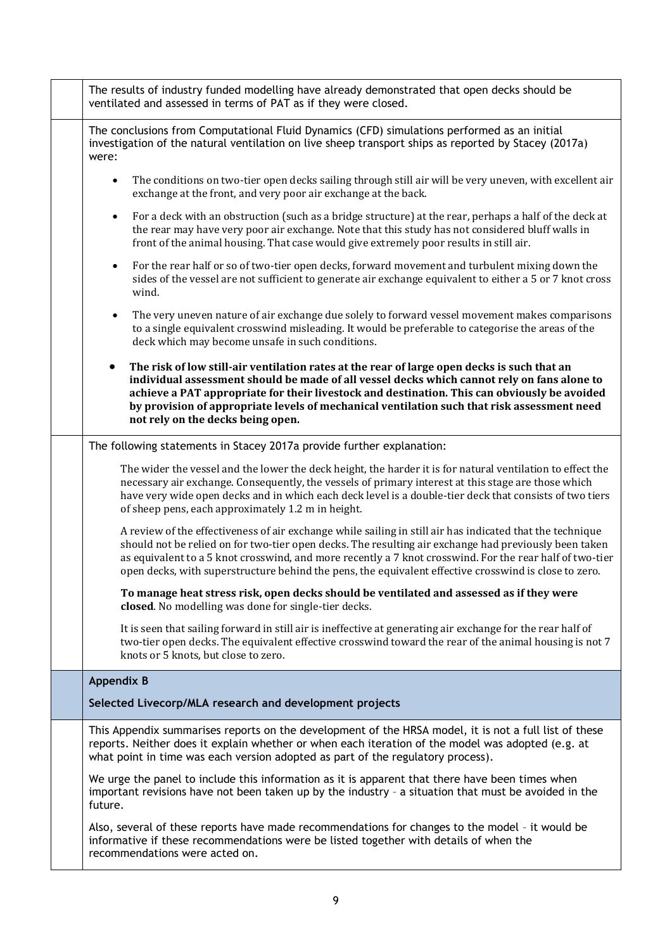| The results of industry funded modelling have already demonstrated that open decks should be<br>ventilated and assessed in terms of PAT as if they were closed.                                                                                                                                                                                                                                                                             |
|---------------------------------------------------------------------------------------------------------------------------------------------------------------------------------------------------------------------------------------------------------------------------------------------------------------------------------------------------------------------------------------------------------------------------------------------|
| The conclusions from Computational Fluid Dynamics (CFD) simulations performed as an initial<br>investigation of the natural ventilation on live sheep transport ships as reported by Stacey (2017a)<br>were:                                                                                                                                                                                                                                |
| The conditions on two-tier open decks sailing through still air will be very uneven, with excellent air<br>$\bullet$<br>exchange at the front, and very poor air exchange at the back.                                                                                                                                                                                                                                                      |
| For a deck with an obstruction (such as a bridge structure) at the rear, perhaps a half of the deck at<br>$\bullet$<br>the rear may have very poor air exchange. Note that this study has not considered bluff walls in<br>front of the animal housing. That case would give extremely poor results in still air.                                                                                                                           |
| For the rear half or so of two-tier open decks, forward movement and turbulent mixing down the<br>$\bullet$<br>sides of the vessel are not sufficient to generate air exchange equivalent to either a 5 or 7 knot cross<br>wind.                                                                                                                                                                                                            |
| The very uneven nature of air exchange due solely to forward vessel movement makes comparisons<br>to a single equivalent crosswind misleading. It would be preferable to categorise the areas of the<br>deck which may become unsafe in such conditions.                                                                                                                                                                                    |
| The risk of low still-air ventilation rates at the rear of large open decks is such that an<br>$\bullet$<br>individual assessment should be made of all vessel decks which cannot rely on fans alone to<br>achieve a PAT appropriate for their livestock and destination. This can obviously be avoided<br>by provision of appropriate levels of mechanical ventilation such that risk assessment need<br>not rely on the decks being open. |
| The following statements in Stacey 2017a provide further explanation:                                                                                                                                                                                                                                                                                                                                                                       |
| The wider the vessel and the lower the deck height, the harder it is for natural ventilation to effect the<br>necessary air exchange. Consequently, the vessels of primary interest at this stage are those which<br>have very wide open decks and in which each deck level is a double-tier deck that consists of two tiers<br>of sheep pens, each approximately 1.2 m in height.                                                          |
| A review of the effectiveness of air exchange while sailing in still air has indicated that the technique<br>should not be relied on for two-tier open decks. The resulting air exchange had previously been taken<br>as equivalent to a 5 knot crosswind, and more recently a 7 knot crosswind. For the rear half of two-tier<br>open decks, with superstructure behind the pens, the equivalent effective crosswind is close to zero.     |
| To manage heat stress risk, open decks should be ventilated and assessed as if they were<br>closed. No modelling was done for single-tier decks.                                                                                                                                                                                                                                                                                            |
| It is seen that sailing forward in still air is ineffective at generating air exchange for the rear half of<br>two-tier open decks. The equivalent effective crosswind toward the rear of the animal housing is not 7<br>knots or 5 knots, but close to zero.                                                                                                                                                                               |
| <b>Appendix B</b>                                                                                                                                                                                                                                                                                                                                                                                                                           |
| Selected Livecorp/MLA research and development projects                                                                                                                                                                                                                                                                                                                                                                                     |
| This Appendix summarises reports on the development of the HRSA model, it is not a full list of these<br>reports. Neither does it explain whether or when each iteration of the model was adopted (e.g. at<br>what point in time was each version adopted as part of the regulatory process).                                                                                                                                               |
| We urge the panel to include this information as it is apparent that there have been times when<br>important revisions have not been taken up by the industry - a situation that must be avoided in the<br>future.                                                                                                                                                                                                                          |
| Also, several of these reports have made recommendations for changes to the model - it would be<br>informative if these recommendations were be listed together with details of when the<br>recommendations were acted on.                                                                                                                                                                                                                  |